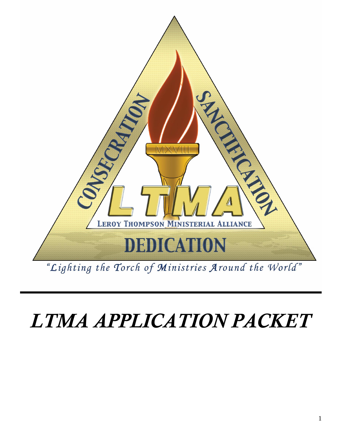

# *LTMA APPLICATION PACKET*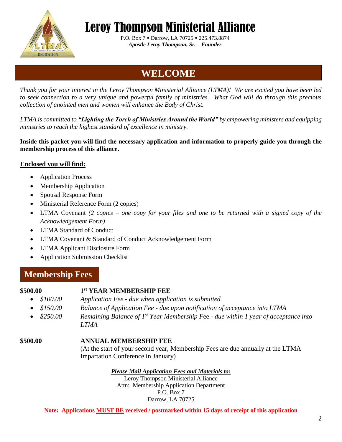

 P.O. Box 7 ▪ Darrow, LA 70725 ▪ 225.473.8874  *Apostle Leroy Thompson, Sr. – Founder* 

### **WELCOME**

*Thank you for your interest in the Leroy Thompson Ministerial Alliance (LTMA)! We are excited you have been led to seek connection to a very unique and powerful family of ministries. What God will do through this precious collection of anointed men and women will enhance the Body of Christ.* 

*LTMA is committed to "Lighting the Torch of Ministries Around the World" by empowering ministers and equipping ministries to reach the highest standard of excellence in ministry.*

**Inside this packet you will find the necessary application and information to properly guide you through the membership process of this alliance.** 

#### **Enclosed you will find:**

- Application Process
- Membership Application
- Spousal Response Form
- Ministerial Reference Form (2 copies)
- LTMA Covenant *(2 copies – one copy for your files and one to be returned with a signed copy of the Acknowledgement Form)*
- LTMA Standard of Conduct
- LTMA Covenant & Standard of Conduct Acknowledgement Form
- LTMA Applicant Disclosure Form
- Application Submission Checklist

#### **Membership Fees**

#### **\$500.00 1**

#### **st YEAR MEMBERSHIP FEE**

- *\$100.00 Application Fee - due when application is submitted*
- *\$150.00 Balance of Application Fee - due upon notification of acceptance into LTMA*
- *\$250.00 Remaining Balance of 1st Year Membership F*ee *- due within 1 year of acceptance into LTMA*

#### **\$500.00 ANNUAL MEMBERSHIP FEE**

(At the start of your second year, Membership Fees are due annually at the LTMA Impartation Conference in January)

#### *Please Mail Application Fees and Materials to:*

Leroy Thompson Ministerial Alliance Attn: Membership Application Department P.O. Box 7 Darrow, LA 70725

**Note: Applications MUST BE received / postmarked within 15 days of receipt of this application**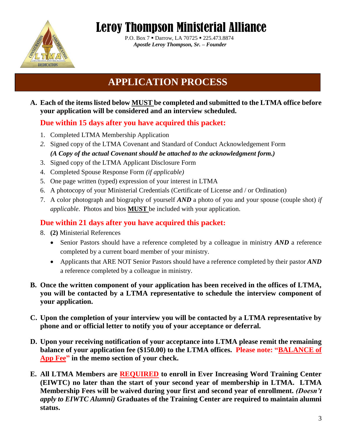

 P.O. Box 7 ▪ Darrow, LA 70725 ▪ 225.473.8874  *Apostle Leroy Thompson, Sr. – Founder* 

### **APPLICATION PROCESS**

#### **A. Each of the items listed below MUST be completed and submitted to the LTMA office before your application will be considered and an interview scheduled.**

#### **Due within 15 days after you have acquired this packet:**

- 1. Completed LTMA Membership Application
- *2.* Signed copy of the LTMA Covenant and Standard of Conduct Acknowledgement Form *(A Copy of the actual Covenant should be attached to the acknowledgment form.)*
- 3. Signed copy of the LTMA Applicant Disclosure Form
- 4. Completed Spouse Response Form *(if applicable)*
- 5. One page written (typed) expression of your interest in LTMA
- 6. A photocopy of your Ministerial Credentials (Certificate of License and / or Ordination)
- 7. A color photograph and biography of yourself *AND* a photo of you and your spouse (couple shot) *if applicable*. Photos and bios **MUST** be included with your application.

#### **Due within 21 days after you have acquired this packet:**

- 8. **(2)** Ministerial References
	- Senior Pastors should have a reference completed by a colleague in ministry *AND* a reference completed by a current board member of your ministry.
	- Applicants that ARE NOT Senior Pastors should have a reference completed by their pastor *AND* a reference completed by a colleague in ministry.
- **B. Once the written component of your application has been received in the offices of LTMA, you will be contacted by a LTMA representative to schedule the interview component of your application.**
- **C. Upon the completion of your interview you will be contacted by a LTMA representative by phone and or official letter to notify you of your acceptance or deferral.**
- **D. Upon your receiving notification of your acceptance into LTMA please remit the remaining balance of your application fee (\$150.00) to the LTMA offices. Please note: "BALANCE of App Fee" in the memo section of your check.**
- **E. All LTMA Members are REQUIRED to enroll in Ever Increasing Word Training Center (EIWTC) no later than the start of your second year of membership in LTMA. LTMA Membership Fees will be waived during your first and second year of enrollment.** *(Doesn't apply to EIWTC Alumni)* **Graduates of the Training Center are required to maintain alumni status.**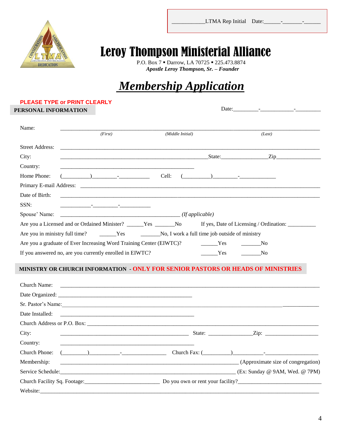

 $\frac{1}{2}$ 

P.O. Box 7 · Darrow, LA 70725 · 225.473.8874  *Apostle Leroy Thompson, Sr. – Founder* 

### *Membership Application*

#### **PLEASE TYPE or PRINT CLEARLY**

**PERSONAL INFORMATION**

Date:\_\_\_\_\_\_\_\_\_-\_\_\_\_\_\_\_\_\_\_\_\_-\_\_\_\_\_\_\_\_\_

| Name:                  | (First)                                                                                                                                                                                                                                                                                                                                                                              | (Middle Initial) |                                                                                                                                                                                                                                                                                                                                                                                      | (Last)                                  |  |
|------------------------|--------------------------------------------------------------------------------------------------------------------------------------------------------------------------------------------------------------------------------------------------------------------------------------------------------------------------------------------------------------------------------------|------------------|--------------------------------------------------------------------------------------------------------------------------------------------------------------------------------------------------------------------------------------------------------------------------------------------------------------------------------------------------------------------------------------|-----------------------------------------|--|
| <b>Street Address:</b> |                                                                                                                                                                                                                                                                                                                                                                                      |                  |                                                                                                                                                                                                                                                                                                                                                                                      |                                         |  |
| City:                  |                                                                                                                                                                                                                                                                                                                                                                                      |                  |                                                                                                                                                                                                                                                                                                                                                                                      | State: <u>Zip</u>                       |  |
| Country:               |                                                                                                                                                                                                                                                                                                                                                                                      |                  |                                                                                                                                                                                                                                                                                                                                                                                      |                                         |  |
| Home Phone:            | $\overline{a}$ $\overline{a}$ $\overline{a}$ $\overline{a}$ $\overline{a}$ $\overline{a}$ $\overline{a}$ $\overline{a}$ $\overline{a}$ $\overline{a}$ $\overline{a}$ $\overline{a}$ $\overline{a}$ $\overline{a}$ $\overline{a}$ $\overline{a}$ $\overline{a}$ $\overline{a}$ $\overline{a}$ $\overline{a}$ $\overline{a}$ $\overline{a}$ $\overline{a}$ $\overline{a}$ $\overline{$ | Cell:            | $\overline{a}$ $\overline{a}$ $\overline{a}$ $\overline{a}$ $\overline{a}$ $\overline{a}$ $\overline{a}$ $\overline{a}$ $\overline{a}$ $\overline{a}$ $\overline{a}$ $\overline{a}$ $\overline{a}$ $\overline{a}$ $\overline{a}$ $\overline{a}$ $\overline{a}$ $\overline{a}$ $\overline{a}$ $\overline{a}$ $\overline{a}$ $\overline{a}$ $\overline{a}$ $\overline{a}$ $\overline{$ |                                         |  |
|                        |                                                                                                                                                                                                                                                                                                                                                                                      |                  |                                                                                                                                                                                                                                                                                                                                                                                      |                                         |  |
| Date of Birth:         |                                                                                                                                                                                                                                                                                                                                                                                      |                  |                                                                                                                                                                                                                                                                                                                                                                                      |                                         |  |
| SSN:                   | the contract of the contract of the contract of the contract of the                                                                                                                                                                                                                                                                                                                  |                  |                                                                                                                                                                                                                                                                                                                                                                                      |                                         |  |
|                        |                                                                                                                                                                                                                                                                                                                                                                                      |                  |                                                                                                                                                                                                                                                                                                                                                                                      |                                         |  |
|                        | Are you a Licensed and or Ordained Minister? ______Yes _______No                                                                                                                                                                                                                                                                                                                     |                  |                                                                                                                                                                                                                                                                                                                                                                                      | If yes, Date of Licensing / Ordination: |  |
|                        | Are you in ministry full time? No. I work a full time job outside of ministry                                                                                                                                                                                                                                                                                                        |                  |                                                                                                                                                                                                                                                                                                                                                                                      |                                         |  |
|                        | Are you a graduate of Ever Increasing Word Training Center (EIWTC)? ________Yes                                                                                                                                                                                                                                                                                                      |                  |                                                                                                                                                                                                                                                                                                                                                                                      | No                                      |  |
|                        | If you answered no, are you currently enrolled in EIWTC?                                                                                                                                                                                                                                                                                                                             |                  | Yes                                                                                                                                                                                                                                                                                                                                                                                  | N <sub>0</sub>                          |  |

#### **MINISTRY OR CHURCH INFORMATION - ONLY FOR SENIOR PASTORS OR HEADS OF MINISTRIES**

| Church Name:                                                                                                                     |                      |
|----------------------------------------------------------------------------------------------------------------------------------|----------------------|
|                                                                                                                                  |                      |
| Sr. Pastor's Name:                                                                                                               |                      |
|                                                                                                                                  |                      |
|                                                                                                                                  |                      |
| City:                                                                                                                            |                      |
| Country:<br><u> 1999 - Johann John Harry, mars and deutscher Stadt and der Stadt and deutscher Stadt and der Stadt and deuts</u> |                      |
| Church Phone: $(\_\_)$                                                                                                           | Church Fax: $(\_\_)$ |
| Membership:<br>(Approximate size of congregation)                                                                                |                      |
| Service Schedule: (Ex: Sunday @ 9AM, Wed. @ 7PM)                                                                                 |                      |
|                                                                                                                                  |                      |
|                                                                                                                                  |                      |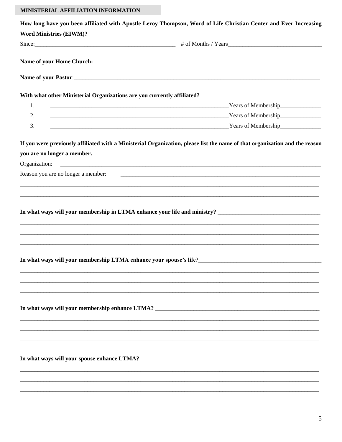#### MINISTERIAL AFFILIATION INFORMATION

|                                                                         | How long have you been affiliated with Apostle Leroy Thompson, Word of Life Christian Center and Ever Increasing                                                                                                                    |
|-------------------------------------------------------------------------|-------------------------------------------------------------------------------------------------------------------------------------------------------------------------------------------------------------------------------------|
| <b>Word Ministries (EIWM)?</b>                                          |                                                                                                                                                                                                                                     |
|                                                                         |                                                                                                                                                                                                                                     |
|                                                                         |                                                                                                                                                                                                                                     |
|                                                                         | Name of your Home Church: <u>contract the contract of the contract of the contract of the contract of the contract of</u>                                                                                                           |
|                                                                         |                                                                                                                                                                                                                                     |
| With what other Ministerial Organizations are you currently affiliated? |                                                                                                                                                                                                                                     |
| 1.                                                                      | <u>Nears of Membership</u> and Membership and Membership and Membership and Membership and Membership and Membership and Membership and Membership and Membership and Membership and Membership and Membership and Membership and M |
| 2.                                                                      | <b>Example 2018</b> The Contract of Membership Contract of Membership Contract of Membership                                                                                                                                        |
| 3.                                                                      | <u>Example 2014</u> The Second Contract of Membership Press, 1988. The Second Contract of Membership Press, 1989. The Second Contract of Membership Press, 1989. The Second Contract of Membership Press, 1989. The Second Contract |
|                                                                         | If you were previously affiliated with a Ministerial Organization, please list the name of that organization and the reason                                                                                                         |
| you are no longer a member.                                             |                                                                                                                                                                                                                                     |
|                                                                         |                                                                                                                                                                                                                                     |
| Reason you are no longer a member:                                      | <u> 1999 - Jan James James James James James James James James James James James James James James James James J</u>                                                                                                                |
|                                                                         | ,我们就会在这里的时候,我们就会在这里的时候,我们就会在这里,我们就会在这里,我们就会在这里,我们就会在这里,我们就会在这里,我们就会在这里,我们就会在这里,我<br>第251章 我们的人,我们就会在这里,我们就会在这里,我们就会在这里,我们就会在这里,我们就会在这里,我们就会在这里,我们就会在这里,我们就会在这里,我们就会在                                                                |
|                                                                         |                                                                                                                                                                                                                                     |
|                                                                         |                                                                                                                                                                                                                                     |
|                                                                         |                                                                                                                                                                                                                                     |
|                                                                         |                                                                                                                                                                                                                                     |
|                                                                         |                                                                                                                                                                                                                                     |
|                                                                         |                                                                                                                                                                                                                                     |
|                                                                         | In what ways will your membership LTMA enhance your spouse's life?<br><u>LTMA</u> enhance your spouse's life?<br><u>LTMA</u> enhance your spouse's life?                                                                            |
|                                                                         |                                                                                                                                                                                                                                     |
|                                                                         |                                                                                                                                                                                                                                     |
|                                                                         |                                                                                                                                                                                                                                     |
|                                                                         |                                                                                                                                                                                                                                     |
|                                                                         |                                                                                                                                                                                                                                     |
|                                                                         |                                                                                                                                                                                                                                     |
|                                                                         |                                                                                                                                                                                                                                     |
|                                                                         |                                                                                                                                                                                                                                     |
|                                                                         |                                                                                                                                                                                                                                     |
|                                                                         |                                                                                                                                                                                                                                     |
|                                                                         |                                                                                                                                                                                                                                     |
|                                                                         |                                                                                                                                                                                                                                     |
|                                                                         |                                                                                                                                                                                                                                     |
|                                                                         |                                                                                                                                                                                                                                     |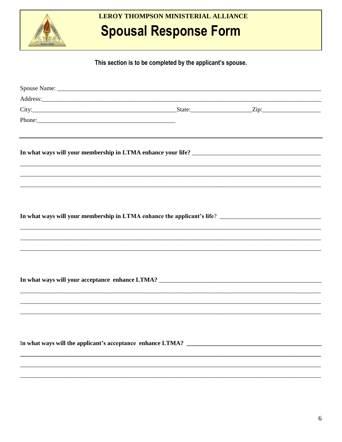

#### LEROY THOMPSON MINISTERIAL ALLIANCE

### **Spousal Response Form**

This section is to be completed by the applicant's spouse.

| Address: and the contract of the contract of the contract of the contract of the contract of the contract of the contract of the contract of the contract of the contract of the contract of the contract of the contract of t |  |  |
|--------------------------------------------------------------------------------------------------------------------------------------------------------------------------------------------------------------------------------|--|--|
|                                                                                                                                                                                                                                |  |  |
|                                                                                                                                                                                                                                |  |  |
|                                                                                                                                                                                                                                |  |  |
|                                                                                                                                                                                                                                |  |  |
|                                                                                                                                                                                                                                |  |  |
|                                                                                                                                                                                                                                |  |  |
|                                                                                                                                                                                                                                |  |  |
|                                                                                                                                                                                                                                |  |  |
|                                                                                                                                                                                                                                |  |  |
| ,我们也不能在这里的人,我们也不能在这里的人,我们也不能在这里的人,我们也不能在这里的人,我们也不能在这里的人,我们也不能在这里的人,我们也不能在这里的人,我们也                                                                                                                                              |  |  |
|                                                                                                                                                                                                                                |  |  |
|                                                                                                                                                                                                                                |  |  |
|                                                                                                                                                                                                                                |  |  |
|                                                                                                                                                                                                                                |  |  |
|                                                                                                                                                                                                                                |  |  |
|                                                                                                                                                                                                                                |  |  |
|                                                                                                                                                                                                                                |  |  |
|                                                                                                                                                                                                                                |  |  |
|                                                                                                                                                                                                                                |  |  |
|                                                                                                                                                                                                                                |  |  |
|                                                                                                                                                                                                                                |  |  |
|                                                                                                                                                                                                                                |  |  |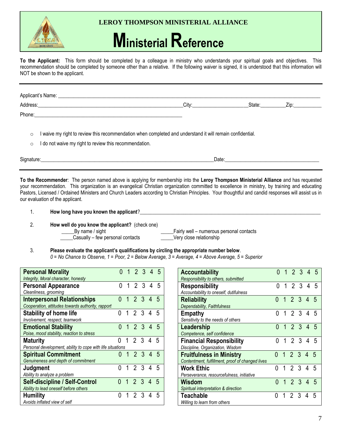#### **LEROY THOMPSON MINISTERIAL ALLIANCE**

## **Ministerial Reference**

**To the Applicant:** This form should be completed by a colleague in ministry who understands your spiritual goals and objectives. This recommendation should be completed by someone other than a relative. If the following waiver is signed, it is understood that this information will NOT be shown to the applicant.

| Applicant's Name: _ |       |        |      |  |  |  |  |  |  |
|---------------------|-------|--------|------|--|--|--|--|--|--|
| Address:            | Citv: | State: | Zip. |  |  |  |  |  |  |
| Phone:              |       |        |      |  |  |  |  |  |  |

- $\circ$  I waive my right to review this recommendation when completed and understand it will remain confidential.
- $\circ$  I do not waive my right to review this recommendation.

Signature:\_\_\_\_\_\_\_\_\_\_\_\_\_\_\_\_\_\_\_\_\_\_\_\_\_\_\_\_\_\_\_\_\_\_\_\_\_\_\_\_\_\_\_\_\_\_\_\_\_\_\_\_\_\_\_\_\_\_\_\_\_\_\_\_\_\_\_\_Date:\_\_\_\_\_\_\_\_\_\_\_\_\_\_\_\_\_\_\_\_\_\_\_\_\_\_\_\_\_\_\_\_\_\_\_\_\_

**To the Recommender**: The person named above is applying for membership into the **Leroy Thompson Ministerial Alliance** and has requested your recommendation. This organization is an evangelical Christian organization committed to excellence in ministry, by training and educating Pastors, Licensed / Ordained Ministers and Church Leaders according to Christian Principles. Your thoughtful and candid responses will assist us in our evaluation of the applicant.

- 1. **How long have you known the applicant**?
- 2. **How well do you know the applicant?** (check one)
	-

\_\_\_\_\_By name / sight \_\_\_\_\_Fairly well – numerous personal contacts \_\_\_\_\_Casually – few personal contacts \_\_\_\_\_Very close relationship

3. **Please evaluate the applicant's qualifications by circling the appropriate number below**. *0 = No Chance to Observe, 1 = Poor, 2 = Below Average, 3 = Average, 4 = Above Average, 5 = Superior*

| <b>Personal Morality</b><br>Integrity, Moral character, honesty                         | U | 1 | 2 3 4        |  | 5 |
|-----------------------------------------------------------------------------------------|---|---|--------------|--|---|
| <b>Personal Appearance</b><br>Cleanliness, grooming                                     | 0 | 1 | 2 3 4 5      |  |   |
| <b>Interpersonal Relationships</b><br>Cooperation, attitudes towards authority, rapport | N |   | $1\ 2\ 3\ 4$ |  |   |
| <b>Stability of home life</b><br>Involvement, respect, teamwork                         | U |   | 1234         |  | 5 |
| <b>Emotional Stability</b><br>Poise, mood stability, reaction to stress                 | N |   | 1 2 3 4 5    |  |   |
| <b>Maturity</b><br>Personal development, ability to cope with life situations           |   |   | 2 3 4        |  | 5 |
| <b>Spiritual Commitment</b><br>Genuineness and depth of commitment                      |   |   | 1234         |  |   |
| Judgment<br>Ability to analyze a problem                                                | N |   | 1 2 3 4 5    |  |   |
| <b>Self-discipline / Self-Control</b><br>Ability to lead oneself before others          | N |   | 1234         |  |   |
| <b>Humility</b><br>Avoids inflated view of self                                         | N |   | 2 3 4        |  |   |

| <b>Accountability</b>                            | <sup>n</sup> |                | 1 2 3 4 5              |  |   |
|--------------------------------------------------|--------------|----------------|------------------------|--|---|
| Responsibility to others, submitted              |              |                |                        |  |   |
| <b>Responsibility</b>                            | N            |                | 1234                   |  | 5 |
| Accountability to oneself, dutifulness           |              |                |                        |  |   |
| <b>Reliability</b>                               | U            | $\overline{1}$ | 2 3 4                  |  | 5 |
| Dependability, Faithfulness                      |              |                |                        |  |   |
| Empathy                                          | N            |                | 1234                   |  | 5 |
| Sensitivity to the needs of others               |              |                |                        |  |   |
| Leadership                                       | በ            |                | 1234                   |  | 5 |
| Competence, self confidence                      |              |                |                        |  |   |
| <b>Financial Responsibility</b>                  | n            |                | 1234                   |  | 5 |
| Discipline, Organization, Wisdom                 |              |                |                        |  |   |
| <b>Fruitfulness in Ministry</b>                  | N            |                | $\overline{1}$ 2 3 4 5 |  |   |
| Contentment, fulfillment, proof of changed lives |              |                |                        |  |   |
| <b>Work Ethic</b>                                | N            |                | $1 \t2 \t3 \t4$        |  | 5 |
| Perseverance, resourcefulness, initiative        |              |                |                        |  |   |
| Wisdom                                           | በ            |                | 1234                   |  | 5 |
| Spiritual interpretation & direction             |              |                |                        |  |   |
| Teachable                                        | N            | 1              | 2 3 4                  |  | 5 |
| Willing to learn from others                     |              |                |                        |  |   |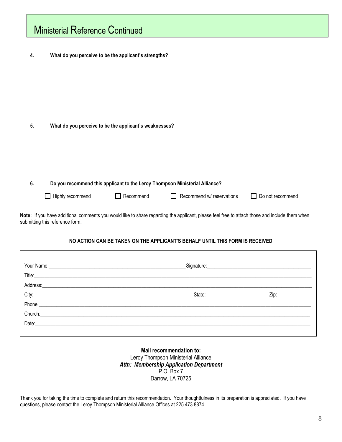|                    | <b>Ministerial Reference Continued</b> |                                                        |                                                                              |                                                                                                                                               |
|--------------------|----------------------------------------|--------------------------------------------------------|------------------------------------------------------------------------------|-----------------------------------------------------------------------------------------------------------------------------------------------|
| 4.                 |                                        | What do you perceive to be the applicant's strengths?  |                                                                              |                                                                                                                                               |
| 5.<br>6.           |                                        | What do you perceive to be the applicant's weaknesses? | Do you recommend this applicant to the Leroy Thompson Ministerial Alliance?  |                                                                                                                                               |
|                    | Highly recommend                       | Recommend                                              | Recommend w/ reservations                                                    | Do not recommend                                                                                                                              |
|                    | submitting this reference form.        |                                                        |                                                                              | Note: If you have additional comments you would like to share regarding the applicant, please feel free to attach those and include them when |
|                    |                                        |                                                        | NO ACTION CAN BE TAKEN ON THE APPLICANT'S BEHALF UNTIL THIS FORM IS RECEIVED |                                                                                                                                               |
| Your Name:         |                                        |                                                        | Signature:                                                                   |                                                                                                                                               |
| Title:<br>Address: |                                        |                                                        |                                                                              |                                                                                                                                               |
| City:              |                                        |                                                        | State:                                                                       | Zip:                                                                                                                                          |
| Phone:             |                                        |                                                        |                                                                              |                                                                                                                                               |

#### **Mail recommendation to:** Leroy Thompson Ministerial Alliance *Attn: Membership Application Department* P.O. Box 7 Darrow, LA 70725

Thank you for taking the time to complete and return this recommendation. Your thoughtfulness in its preparation is appreciated. If you have questions, please contact the Leroy Thompson Ministerial Alliance Offices at 225.473.8874.

Church:\_\_\_\_\_\_\_\_\_\_\_\_\_\_\_\_\_\_\_\_\_\_\_\_\_\_\_\_\_\_\_\_\_\_\_\_\_\_\_\_\_\_\_\_\_\_\_\_\_\_\_\_\_\_\_\_\_\_\_\_\_\_\_\_\_\_\_\_\_\_\_\_\_\_\_\_\_\_\_\_\_\_\_\_\_\_\_\_\_\_\_\_\_\_\_\_\_\_\_\_\_\_\_\_\_\_

Date:\_\_\_\_\_\_\_\_\_\_\_\_\_\_\_\_\_\_\_\_\_\_\_\_\_\_\_\_\_\_\_\_\_\_\_\_\_\_\_\_\_\_\_\_\_\_\_\_\_\_\_\_\_\_\_\_\_\_\_\_\_\_\_\_\_\_\_\_\_\_\_\_\_\_\_\_\_\_\_\_\_\_\_\_\_\_\_\_\_\_\_\_\_\_\_\_\_\_\_\_\_\_\_\_\_\_\_\_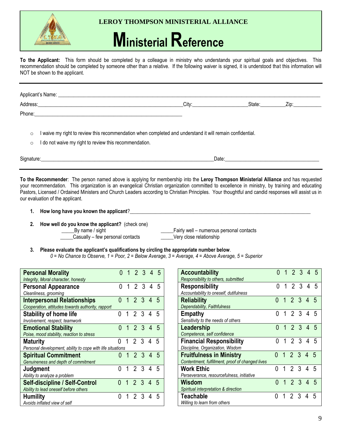

#### **LEROY THOMPSON MINISTERIAL ALLIANCE**

## **Ministerial Reference**

**To the Applicant:** This form should be completed by a colleague in ministry who understands your spiritual goals and objectives. This recommendation should be completed by someone other than a relative. If the following waiver is signed, it is understood that this information will NOT be shown to the applicant.

| Applicant's Name: _ |       |        |                  |
|---------------------|-------|--------|------------------|
| Address:            | Citv: | State: | Zip <sup>-</sup> |
| Phone:              |       |        |                  |

- $\circ$  I waive my right to review this recommendation when completed and understand it will remain confidential.
- $\circ$  I do not waive my right to review this recommendation.

Signature:\_\_\_\_\_\_\_\_\_\_\_\_\_\_\_\_\_\_\_\_\_\_\_\_\_\_\_\_\_\_\_\_\_\_\_\_\_\_\_\_\_\_\_\_\_\_\_\_\_\_\_\_\_\_\_\_\_\_\_\_\_\_\_\_\_\_\_\_Date:\_\_\_\_\_\_\_\_\_\_\_\_\_\_\_\_\_\_\_\_\_\_\_\_\_\_\_\_\_\_\_\_\_\_\_\_\_

**To the Recommender**: The person named above is applying for membership into the **Leroy Thompson Ministerial Alliance** and has requested your recommendation. This organization is an evangelical Christian organization committed to excellence in ministry, by training and educating Pastors, Licensed / Ordained Ministers and Church Leaders according to Christian Principles. Your thoughtful and candid responses will assist us in our evaluation of the applicant.

- **1. How long have you known the applicant**?\_\_\_\_\_\_\_\_\_\_\_\_\_\_\_\_\_\_\_\_\_\_\_\_\_\_\_\_\_\_\_\_\_\_\_\_\_\_\_\_\_\_\_\_\_\_\_\_\_\_\_\_\_\_\_\_\_\_\_\_\_\_\_\_\_\_\_\_\_\_\_
- **2. How well do you know the applicant?** (check one)
	-

\_\_\_\_\_Casually – few personal contacts \_\_\_\_\_Very close relationship

Latter Divideo By name / sight the state of the state of the Latter Fairly well – numerous personal contacts

- **3. Please evaluate the applicant's qualifications by circling the appropriate number below**.
	- *0 = No Chance to Observe, 1 = Poor, 2 = Below Average, 3 = Average, 4 = Above Average, 5 = Superior*

| <b>Personal Morality</b><br>Integrity, Moral character, honesty                         |   |   | 1234  |             |   | 5 |
|-----------------------------------------------------------------------------------------|---|---|-------|-------------|---|---|
| <b>Personal Appearance</b><br>Cleanliness, grooming                                     | 0 |   | 1234  |             |   |   |
| <b>Interpersonal Relationships</b><br>Cooperation, attitudes towards authority, rapport | Λ | 1 | 2 3 4 |             |   | 5 |
| <b>Stability of home life</b><br>Involvement, respect, teamwork                         | U | 1 | 2 3 4 |             |   | 5 |
| <b>Emotional Stability</b><br>Poise, mood stability, reaction to stress                 | O |   | 1234  |             |   | 5 |
| <b>Maturity</b><br>Personal development, ability to cope with life situations           |   |   |       | $2 \t3 \t4$ |   | 5 |
| <b>Spiritual Commitment</b><br>Genuineness and depth of commitment                      | O | 1 | 2 3   |             | 4 |   |
| Judgment<br>Ability to analyze a problem                                                | N | 1 | 2 3 4 |             |   | 5 |
| <b>Self-discipline / Self-Control</b><br>Ability to lead oneself before others          |   |   | 1234  |             |   | 5 |
| <b>Humility</b><br>Avoids inflated view of self                                         | N |   | 2 3   |             | 4 | 5 |

| <b>Accountability</b>                            | 0 |   | 1 2 3 4 5       |   |    |
|--------------------------------------------------|---|---|-----------------|---|----|
| Responsibility to others, submitted              |   |   |                 |   |    |
| <b>Responsibility</b>                            | 0 |   | 1234            |   | 5  |
| Accountability to oneself, dutifulness           |   |   |                 |   |    |
| Reliability                                      | N | 1 | 2 3 4           |   | 5  |
| Dependability, Faithfulness                      |   |   |                 |   |    |
| <b>Empathy</b>                                   | N |   | $1 \t2 \t3 \t4$ |   | 5  |
| Sensitivity to the needs of others               |   |   |                 |   |    |
| Leadership                                       | N |   | 1234            |   | 5  |
| Competence, self confidence                      |   |   |                 |   |    |
|                                                  |   |   |                 |   |    |
| <b>Financial Responsibility</b>                  | N |   | $1\ 2\ 3\ 4$    |   | .5 |
| Discipline, Organization, Wisdom                 |   |   |                 |   |    |
| <b>Fruitfulness in Ministry</b>                  | N |   | 1234            |   | 5  |
| Contentment, fulfillment, proof of changed lives |   |   |                 |   |    |
| Work Ethic                                       |   | 1 | 2 3 4           |   | 5  |
| Perseverance, resourcefulness, initiative        |   |   |                 |   |    |
| Wisdom                                           | Λ | 1 | 2 3 4           |   | 5  |
| Spiritual interpretation & direction             |   |   |                 |   |    |
| Teachable                                        | O | 1 | 2 3             | 4 | 5  |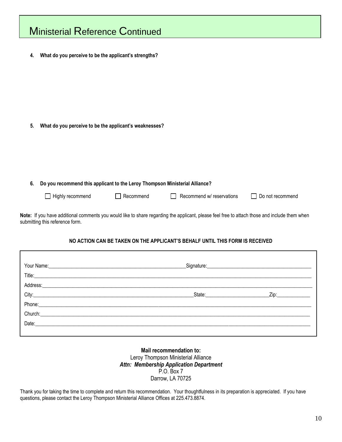| <b>Ministerial Reference Continued</b>                                                                                                                                           |                                                                             |           |                           |                  |  |  |  |
|----------------------------------------------------------------------------------------------------------------------------------------------------------------------------------|-----------------------------------------------------------------------------|-----------|---------------------------|------------------|--|--|--|
| 4.                                                                                                                                                                               | What do you perceive to be the applicant's strengths?                       |           |                           |                  |  |  |  |
| 5.                                                                                                                                                                               | What do you perceive to be the applicant's weaknesses?                      |           |                           |                  |  |  |  |
| 6.                                                                                                                                                                               | Do you recommend this applicant to the Leroy Thompson Ministerial Alliance? |           |                           |                  |  |  |  |
|                                                                                                                                                                                  | Highly recommend                                                            | Recommend | Recommend w/ reservations | Do not recommend |  |  |  |
| Note: If you have additional comments you would like to share regarding the applicant, please feel free to attach those and include them when<br>submitting this reference form. |                                                                             |           |                           |                  |  |  |  |

#### **NO ACTION CAN BE TAKEN ON THE APPLICANT'S BEHALF UNTIL THIS FORM IS RECEIVED**

Г

| Your Name: 2008 2010 2020 2020 2020 2021 2021 2022 2022 2021 2022 2022 2022 2022 2022 2022 2022 2022 2022 2022                                                                                                                 |               | Signature: Signature: |
|--------------------------------------------------------------------------------------------------------------------------------------------------------------------------------------------------------------------------------|---------------|-----------------------|
| Title: Title: Title: The Commission of the Commission of the Commission of the Commission of the Commission of the Commission of the Commission of the Commission of the Commission of the Commission of the Commission of the |               |                       |
|                                                                                                                                                                                                                                |               |                       |
|                                                                                                                                                                                                                                | State: State: | Zip:______________    |
|                                                                                                                                                                                                                                |               |                       |
|                                                                                                                                                                                                                                |               |                       |
|                                                                                                                                                                                                                                |               |                       |
|                                                                                                                                                                                                                                |               |                       |

**Mail recommendation to:** Leroy Thompson Ministerial Alliance *Attn: Membership Application Department* P.O. Box 7 Darrow, LA 70725

Thank you for taking the time to complete and return this recommendation. Your thoughtfulness in its preparation is appreciated. If you have questions, please contact the Leroy Thompson Ministerial Alliance Offices at 225.473.8874.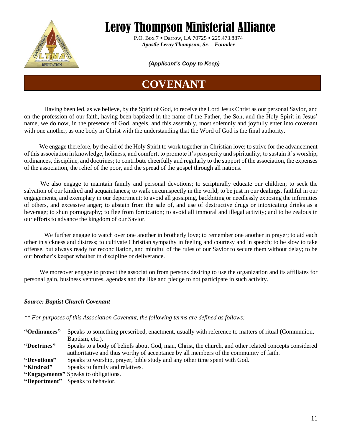

 P.O. Box 7 ▪ Darrow, LA 70725 ▪ 225.473.8874  *Apostle Leroy Thompson, Sr. – Founder* 

#### *(Applicant's Copy to Keep)*

### **COVENANT**

Having been led, as we believe, by the Spirit of God, to receive the Lord Jesus Christ as our personal Savior, and on the profession of our faith, having been baptized in the name of the Father, the Son, and the Holy Spirit in Jesus' name, we do now, in the presence of God, angels, and this assembly, most solemnly and joyfully enter into covenant with one another, as one body in Christ with the understanding that the Word of God is the final authority.

We engage therefore, by the aid of the Holy Spirit to work together in Christian love; to strive for the advancement of this association in knowledge, holiness, and comfort; to promote it's prosperity and spirituality; to sustain it's worship, ordinances, discipline, and doctrines; to contribute cheerfully and regularly to the support of the association, the expenses of the association, the relief of the poor, and the spread of the gospel through all nations.

 We also engage to maintain family and personal devotions; to scripturally educate our children; to seek the salvation of our kindred and acquaintances; to walk circumspectly in the world; to be just in our dealings, faithful in our engagements, and exemplary in our deportment; to avoid all gossiping, backbiting or needlessly exposing the infirmities of others, and excessive anger; to abstain from the sale of, and use of destructive drugs or intoxicating drinks as a beverage; to shun pornography; to flee from fornication; to avoid all immoral and illegal activity; and to be zealous in our efforts to advance the kingdom of our Savior.

We further engage to watch over one another in brotherly love; to remember one another in prayer; to aid each other in sickness and distress; to cultivate Christian sympathy in feeling and courtesy and in speech; to be slow to take offense, but always ready for reconciliation, and mindful of the rules of our Savior to secure them without delay; to be our brother's keeper whether in discipline or deliverance.

 We moreover engage to protect the association from persons desiring to use the organization and its affiliates for personal gain, business ventures, agendas and the like and pledge to not participate in such activity.

#### *Source: Baptist Church Covenant*

*\*\* For purposes of this Association Covenant, the following terms are defined as follows:*

- **"Ordinances"** Speaks to something prescribed, enactment, usually with reference to matters of ritual (Communion, Baptism, etc.).
- **"Doctrines"** Speaks to a body of beliefs about God, man, Christ, the church, and other related concepts considered authoritative and thus worthy of acceptance by all members of the community of faith.
- **"Devotions"** Speaks to worship, prayer, bible study and any other time spent with God.
- **"Kindred"** Speaks to family and relatives.
- **"Engagements"** Speaks to obligations.
- **"Deportment"** Speaks to behavior.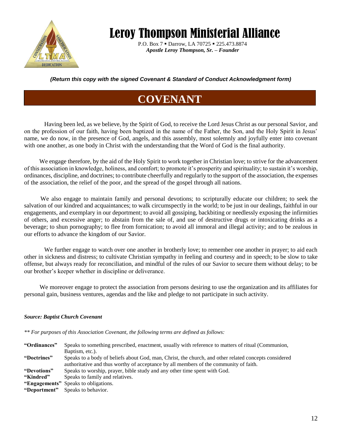

P.O. Box 7 · Darrow, LA 70725 · 225.473.8874  *Apostle Leroy Thompson, Sr. – Founder* 

*(Return this copy with the signed Covenant & Standard of Conduct Acknowledgment form)* 

### **COVENANT**

Having been led, as we believe, by the Spirit of God, to receive the Lord Jesus Christ as our personal Savior, and on the profession of our faith, having been baptized in the name of the Father, the Son, and the Holy Spirit in Jesus' name, we do now, in the presence of God, angels, and this assembly, most solemnly and joyfully enter into covenant with one another, as one body in Christ with the understanding that the Word of God is the final authority.

We engage therefore, by the aid of the Holy Spirit to work together in Christian love; to strive for the advancement of this association in knowledge, holiness, and comfort; to promote it's prosperity and spirituality; to sustain it's worship, ordinances, discipline, and doctrines; to contribute cheerfully and regularly to the support of the association, the expenses of the association, the relief of the poor, and the spread of the gospel through all nations.

 We also engage to maintain family and personal devotions; to scripturally educate our children; to seek the salvation of our kindred and acquaintances; to walk circumspectly in the world; to be just in our dealings, faithful in our engagements, and exemplary in our deportment; to avoid all gossiping, backbiting or needlessly exposing the infirmities of others, and excessive anger; to abstain from the sale of, and use of destructive drugs or intoxicating drinks as a beverage; to shun pornography; to flee from fornication; to avoid all immoral and illegal activity; and to be zealous in our efforts to advance the kingdom of our Savior.

We further engage to watch over one another in brotherly love; to remember one another in prayer; to aid each other in sickness and distress; to cultivate Christian sympathy in feeling and courtesy and in speech; to be slow to take offense, but always ready for reconciliation, and mindful of the rules of our Savior to secure them without delay; to be our brother's keeper whether in discipline or deliverance.

 We moreover engage to protect the association from persons desiring to use the organization and its affiliates for personal gain, business ventures, agendas and the like and pledge to not participate in such activity.

#### *Source: Baptist Church Covenant*

*\*\* For purposes of this Association Covenant, the following terms are defined as follows:*

| "Ordinances" | Speaks to something prescribed, enactment, usually with reference to matters of ritual (Communion,                                                                                             |
|--------------|------------------------------------------------------------------------------------------------------------------------------------------------------------------------------------------------|
|              | Baptism, etc.).                                                                                                                                                                                |
| "Doctrines"  | Speaks to a body of beliefs about God, man, Christ, the church, and other related concepts considered<br>authoritative and thus worthy of acceptance by all members of the community of faith. |
| "Devotions"  | Speaks to worship, prayer, bible study and any other time spent with God.                                                                                                                      |
| "Kindred"    | Speaks to family and relatives.                                                                                                                                                                |
|              | "Engagements" Speaks to obligations.                                                                                                                                                           |
| "Deportment" | Speaks to behavior.                                                                                                                                                                            |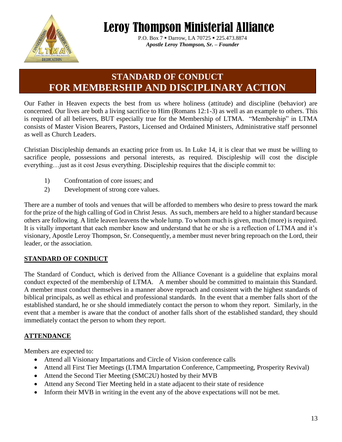

 P.O. Box 7 ▪ Darrow, LA 70725 ▪ 225.473.8874  *Apostle Leroy Thompson, Sr. – Founder* 

### **STANDARD OF CONDUCT FOR MEMBERSHIP AND DISCIPLINARY ACTION**

Our Father in Heaven expects the best from us where holiness (attitude) and discipline (behavior) are concerned. Our lives are both a living sacrifice to Him (Romans 12:1-3) as well as an example to others. This is required of all believers, BUT especially true for the Membership of LTMA. "Membership" in LTMA consists of Master Vision Bearers, Pastors, Licensed and Ordained Ministers, Administrative staff personnel as well as Church Leaders.

Christian Discipleship demands an exacting price from us. In Luke 14, it is clear that we must be willing to sacrifice people, possessions and personal interests, as required. Discipleship will cost the disciple everything…just as it cost Jesus everything. Discipleship requires that the disciple commit to:

- 1) Confrontation of core issues; and
- 2) Development of strong core values.

There are a number of tools and venues that will be afforded to members who desire to press toward the mark for the prize of the high calling of God in Christ Jesus. As such, members are held to a higher standard because others are following. A little leaven leavens the whole lump. To whom much is given, much (more) is required. It is vitally important that each member know and understand that he or she is a reflection of LTMA and it's visionary, Apostle Leroy Thompson, Sr. Consequently, a member must never bring reproach on the Lord, their leader, or the association.

#### **STANDARD OF CONDUCT**

The Standard of Conduct, which is derived from the Alliance Covenant is a guideline that explains moral conduct expected of the membership of LTMA. A member should be committed to maintain this Standard. A member must conduct themselves in a manner above reproach and consistent with the highest standards of biblical principals, as well as ethical and professional standards. In the event that a member falls short of the established standard, he or she should immediately contact the person to whom they report. Similarly, in the event that a member is aware that the conduct of another falls short of the established standard, they should immediately contact the person to whom they report.

#### **ATTENDANCE**

Members are expected to:

- Attend all Visionary Impartations and Circle of Vision conference calls
- Attend all First Tier Meetings (LTMA Impartation Conference, Campmeeting, Prosperity Revival)
- Attend the Second Tier Meeting (SMC2U) hosted by their MVB
- Attend any Second Tier Meeting held in a state adjacent to their state of residence
- Inform their MVB in writing in the event any of the above expectations will not be met.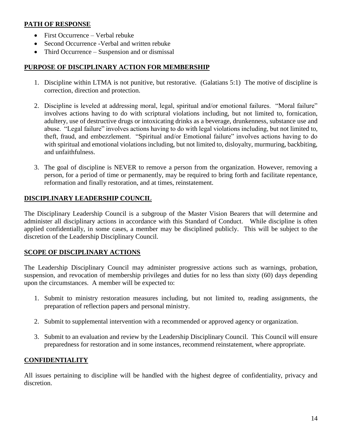#### **PATH OF RESPONSE**

- First Occurrence Verbal rebuke
- Second Occurrence Verbal and written rebuke
- Third Occurrence Suspension and or dismissal

#### **PURPOSE OF DISCIPLINARY ACTION FOR MEMBERSHIP**

- 1. Discipline within LTMA is not punitive, but restorative. (Galatians 5:1) The motive of discipline is correction, direction and protection.
- 2. Discipline is leveled at addressing moral, legal, spiritual and/or emotional failures. "Moral failure" involves actions having to do with scriptural violations including, but not limited to, fornication, adultery, use of destructive drugs or intoxicating drinks as a beverage, drunkenness, substance use and abuse. "Legal failure" involves actions having to do with legal violations including, but not limited to, theft, fraud, and embezzlement. "Spiritual and/or Emotional failure" involves actions having to do with spiritual and emotional violations including, but not limited to, disloyalty, murmuring, backbiting, and unfaithfulness.
- 3. The goal of discipline is NEVER to remove a person from the organization. However, removing a person, for a period of time or permanently, may be required to bring forth and facilitate repentance, reformation and finally restoration, and at times, reinstatement.

#### **DISCIPLINARY LEADERSHIP COUNCIL**

The Disciplinary Leadership Council is a subgroup of the Master Vision Bearers that will determine and administer all disciplinary actions in accordance with this Standard of Conduct. While discipline is often applied confidentially, in some cases, a member may be disciplined publicly. This will be subject to the discretion of the Leadership Disciplinary Council.

#### **SCOPE OF DISCIPLINARY ACTIONS**

The Leadership Disciplinary Council may administer progressive actions such as warnings, probation, suspension, and revocation of membership privileges and duties for no less than sixty (60) days depending upon the circumstances. A member will be expected to:

- 1. Submit to ministry restoration measures including, but not limited to, reading assignments, the preparation of reflection papers and personal ministry.
- 2. Submit to supplemental intervention with a recommended or approved agency or organization.
- 3. Submit to an evaluation and review by the Leadership Disciplinary Council. This Council will ensure preparedness for restoration and in some instances, recommend reinstatement, where appropriate.

#### **CONFIDENTIALITY**

All issues pertaining to discipline will be handled with the highest degree of confidentiality, privacy and discretion.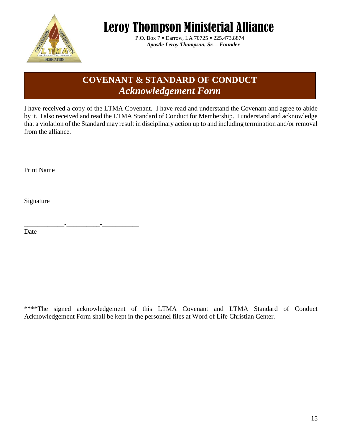

P.O. Box 7 · Darrow, LA 70725 · 225.473.8874  *Apostle Leroy Thompson, Sr. – Founder* 

### **COVENANT & STANDARD OF CONDUCT** *Acknowledgement Form*

I have received a copy of the LTMA Covenant. I have read and understand the Covenant and agree to abide by it. I also received and read the LTMA Standard of Conduct for Membership. I understand and acknowledge that a violation of the Standard may result in disciplinary action up to and including termination and/or removal from the alliance.

\_\_\_\_\_\_\_\_\_\_\_\_\_\_\_\_\_\_\_\_\_\_\_\_\_\_\_\_\_\_\_\_\_\_\_\_\_\_\_\_\_\_\_\_\_\_\_\_\_\_\_\_\_\_\_\_\_\_\_\_\_\_\_\_\_\_\_\_\_\_\_\_\_\_\_\_\_\_

\_\_\_\_\_\_\_\_\_\_\_\_\_\_\_\_\_\_\_\_\_\_\_\_\_\_\_\_\_\_\_\_\_\_\_\_\_\_\_\_\_\_\_\_\_\_\_\_\_\_\_\_\_\_\_\_\_\_\_\_\_\_\_\_\_\_\_\_\_\_\_\_\_\_\_\_\_\_

Print Name

Signature

\_\_\_\_\_\_\_\_\_\_\_\_-\_\_\_\_\_\_\_\_\_\_-\_\_\_\_\_\_\_\_\_\_\_

Date

\*\*\*\*The signed acknowledgement of this LTMA Covenant and LTMA Standard of Conduct Acknowledgement Form shall be kept in the personnel files at Word of Life Christian Center.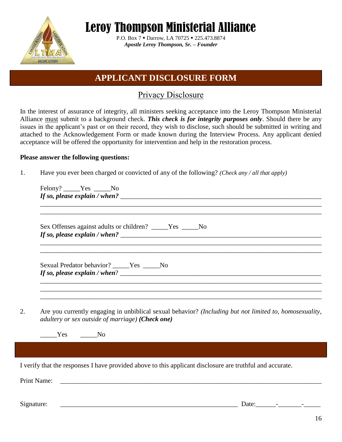

P.O. Box 7 · Darrow, LA 70725 · 225.473.8874 *Apostle Leroy Thompson, Sr. – Founder* 

### **APPLICANT DISCLOSURE FORM**

### Privacy Disclosure

In the interest of assurance of integrity, all ministers seeking acceptance into the Leroy Thompson Ministerial Alliance must submit to a background check. *This check is for integrity purposes only*. Should there be any issues in the applicant's past or on their record, they wish to disclose, such should be submitted in writing and attached to the Acknowledgement Form or made known during the Interview Process. Any applicant denied acceptance will be offered the opportunity for intervention and help in the restoration process.

#### **Please answer the following questions:**

1. Have you ever been charged or convicted of any of the following? *(Check any / all that apply)*

| Sex Offenses against adults or children? _____Yes ____No<br>If so, please explain / when? $\frac{1}{2}$ / $\frac{1}{2}$ / $\frac{1}{2}$ / $\frac{1}{2}$ / $\frac{1}{2}$ / $\frac{1}{2}$ / $\frac{1}{2}$ / $\frac{1}{2}$ / $\frac{1}{2}$ / $\frac{1}{2}$ / $\frac{1}{2}$ / $\frac{1}{2}$ / $\frac{1}{2}$ / $\frac{1}{2}$ / $\frac{1}{2}$ / $\frac{1}{2}$ /<br>,我们也不能在这里的时候,我们也不能在这里的时候,我们也不能会在这里的时候,我们也不能会在这里的时候,我们也不能会在这里的时候,我们也不能会在这里的时候,我们也不 |
|------------------------------------------------------------------------------------------------------------------------------------------------------------------------------------------------------------------------------------------------------------------------------------------------------------------------------------------------------------------------------------------------------------------------------------------------|
| Sexual Predator behavior? _____Yes _____No<br>If so, please explain / when? $\frac{1}{2}$ / $\frac{1}{2}$ / $\frac{1}{2}$ / $\frac{1}{2}$ / $\frac{1}{2}$ / $\frac{1}{2}$ / $\frac{1}{2}$ / $\frac{1}{2}$ / $\frac{1}{2}$ / $\frac{1}{2}$ / $\frac{1}{2}$ / $\frac{1}{2}$ / $\frac{1}{2}$ / $\frac{1}{2}$ / $\frac{1}{2}$ / $\frac{1}{2}$ /                                                                                                    |
| ,我们也不能在这里的时候,我们也不能在这里的时候,我们也不能在这里的时候,我们也不能会不能会不能会不能会不能会不能会不能会。<br>第2012章 我们的时候,我们的时候,我们的时候,我们的时候,我们的时候,我们的时候,我们的时候,我们的时候,我们的时候,我们的时候,我们的时候,我们的时候,我<br>Are you currently engaging in unbiblical sexual behavior? (Including but not limited to, homosexuality,<br>adultery or sex outside of marriage) (Check one)                                                                                                                              |
| Yes No                                                                                                                                                                                                                                                                                                                                                                                                                                         |
|                                                                                                                                                                                                                                                                                                                                                                                                                                                |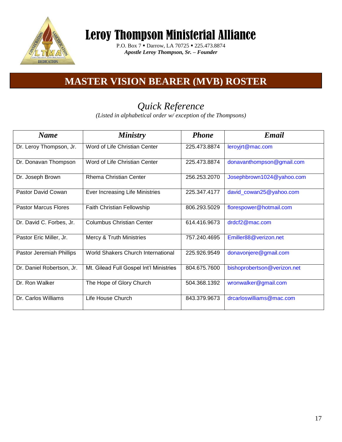

P.O. Box 7 ■ Darrow, LA 70725 ■ 225.473.8874 *Apostle Leroy Thompson, Sr. – Founder* 

### **MASTER VISION BEARER (MVB) ROSTER**

### *Quick Reference*

*(Listed in alphabetical order w/ exception of the Thompsons)*

| <b>Name</b>                 | <b>Ministry</b>                           | <b>Phone</b> | Email                       |
|-----------------------------|-------------------------------------------|--------------|-----------------------------|
| Dr. Leroy Thompson, Jr.     | Word of Life Christian Center             | 225.473.8874 | leroyjrt@mac.com            |
| Dr. Donavan Thompson        | Word of Life Christian Center             | 225.473.8874 | donavanthompson@gmail.com   |
| Dr. Joseph Brown            | <b>Rhema Christian Center</b>             | 256.253.2070 | Josephbrown1024@yahoo.com   |
| <b>Pastor David Cowan</b>   | Ever Increasing Life Ministries           | 225.347.4177 | david_cowan25@yahoo.com     |
| <b>Pastor Marcus Flores</b> | Faith Christian Fellowship                | 806.293.5029 | florespower@hotmail.com     |
| Dr. David C. Forbes, Jr.    | <b>Columbus Christian Center</b>          | 614.416.9673 | drdcf2@mac.com              |
| Pastor Eric Miller, Jr.     | Mercy & Truth Ministries                  | 757.240.4695 | Emiller88@verizon.net       |
| Pastor Jeremiah Phillips    | <b>World Shakers Church International</b> | 225.926.9549 | donavonjere@gmail.com       |
| Dr. Daniel Robertson, Jr.   | Mt. Gilead Full Gospel Int'l Ministries   | 804.675.7600 | bishoprobertson@verizon.net |
| Dr. Ron Walker              | The Hope of Glory Church                  | 504.368.1392 | wronwalker@gmail.com        |
| Dr. Carlos Williams         | Life House Church                         | 843.379.9673 | drcarloswilliams@mac.com    |